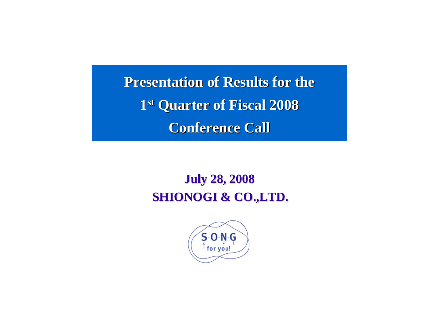**Presentation of Results for the** 1st Quarter of Fiscal 2008 **Conference Call Conference Call**

# **July 28, 2008 July 28, 2008 SHIONOGI & CO.,LTD.**

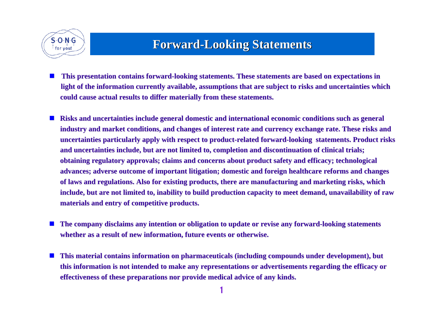

## **Forward Forward-Looking Statements Looking Statements**

- $\mathbb{Z}$ This presentation contains forward-looking statements. These statements are based on expectations in light of the information currently available, assumptions that are subject to risks and uncertainties which **could cause actual results to could cause actual results to differ materially from these differ materially from these statements. statements.**
- a) Risks and uncertainties include general domestic and international economic conditions such as general industry and market conditions, and changes of interest rate and currency exchange rate. These risks and uncertainties particularly apply with respect to product-related forward-looking statements. Product risks and uncertainties include, but are not limited to, completion and discontinuation of clinical trials; **obtaining regulatory approvals; claims and concerns about product safety and efficacy; technological advances; adverse outcome of important litigation; domestic and foreign healthcare reforms and changes** of laws and regulations. Also for existing products, there are manufacturing and marketing risks, which include, but are not limited to, inability to build production capacity to meet demand, unavailability of raw **materials and entry of competitive products. materials and entry of competitive products.**
- u The company disclaims any intention or obligation to update or revise any forward-looking statements **whether as a result of new information, future events or otherwise.**
- ш **This material contains information on pharmaceuticals (including compounds under development), but** this information is not intended to make any representations or advertisements regarding the efficacy or **effectiveness of these prepar effectiveness of these preparations nor provide medical ad ations nor provide medical advice of any kinds. vice of any kinds.**

1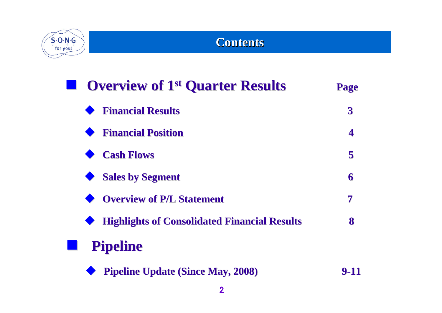

## **Contents Contents**

| <b>Overview of 1st Quarter Results</b>              | <b>Page</b>      |
|-----------------------------------------------------|------------------|
| <b>Financial Results</b>                            | $\boldsymbol{3}$ |
| <b>Financial Position</b>                           | 4                |
| <b>Cash Flows</b>                                   | 5                |
| <b>Sales by Segment</b>                             | 6                |
| <b>Overview of P/L Statement</b>                    | 7                |
| <b>Highlights of Consolidated Financial Results</b> | 8                |
| <b>Pipeline</b>                                     |                  |
| <b>Pipeline Update (Since May, 2008)</b>            |                  |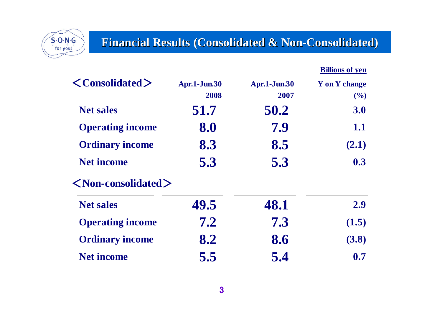

## **Financial Results (Consolidated & Non-Consolidated)**

| <b>Billions of ven</b> |
|------------------------|
|------------------------|

| $\langle$ Consolidated $\rangle$     | <b>Apr.1-Jun.30</b> | <b>Apr.1-Jun.30</b> | <b>Y</b> on Y change |
|--------------------------------------|---------------------|---------------------|----------------------|
|                                      | 2008                | 2007                | (%)                  |
| <b>Net sales</b>                     | 51.7                | 50.2                | 3.0                  |
| <b>Operating income</b>              | 8.0                 | 7.9                 | 1.1                  |
| <b>Ordinary income</b>               | 8.3                 | 8.5                 | (2.1)                |
| <b>Net income</b>                    | 5.3                 | 5.3                 | 0.3                  |
| $\langle$ Non-consolidated $\rangle$ |                     |                     |                      |
| <b>Net sales</b>                     | 49.5                | 48.1                | 2.9                  |
| <b>Operating income</b>              | 7.2                 | 7.3                 | (1.5)                |
| <b>Ordinary income</b>               | 8.2                 | 8.6                 | (3.8)                |
| <b>Net income</b>                    | 5.5                 | 5.4                 | 0.7                  |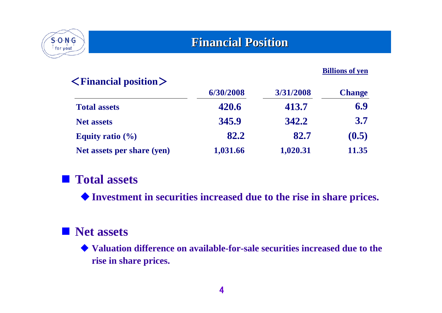

## **Financial Position**

#### **Billions of yen**

| $\leq$ Financial position $>$ |           |           |               |
|-------------------------------|-----------|-----------|---------------|
|                               | 6/30/2008 | 3/31/2008 | <b>Change</b> |
| <b>Total assets</b>           | 420.6     | 413.7     | 6.9           |
| <b>Net assets</b>             | 345.9     | 342.2     | 3.7           |
| Equity ratio $(\% )$          | 82.2      | 82.7      | (0.5)         |
| Net assets per share (yen)    | 1,031.66  | 1,020.31  | 11.35         |

## **Total assets**

**Investment in securities increased due to the rise in share prices.**

## **Net assets**

 **Valuation difference on available-for-sale securities increased due to the rise in share prices.**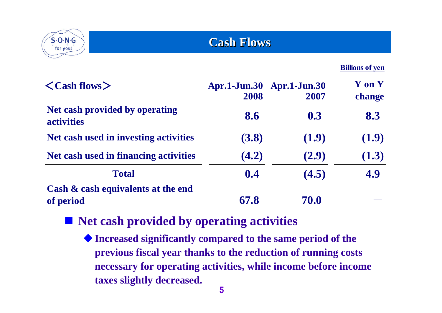

**Cash Flows Cash Flows**

**Billions of yen**

| $\langle$ Cash flows $\rangle$                      | <b>Apr.1-Jun.30</b><br>2008 | <b>Apr.1-Jun.30</b><br>2007 | <b>Y</b> on <b>Y</b><br>change |
|-----------------------------------------------------|-----------------------------|-----------------------------|--------------------------------|
| Net cash provided by operating<br><b>activities</b> | 8.6                         | 0.3                         | 8.3                            |
| Net cash used in investing activities               | (3.8)                       | (1.9)                       | (1.9)                          |
| Net cash used in financing activities               | (4.2)                       | (2.9)                       | (1.3)                          |
| <b>Total</b>                                        | 0.4                         | (4.5)                       | 4.9                            |
| Cash & cash equivalents at the end<br>of period     | 67.8                        | 70.0                        |                                |

**Net cash provided by operating activities**

**Increased significantly compared to the same period of the previous fiscal year thanks to the reduction of running costs necessary for operating activities, while income before income taxes slightly decreased.**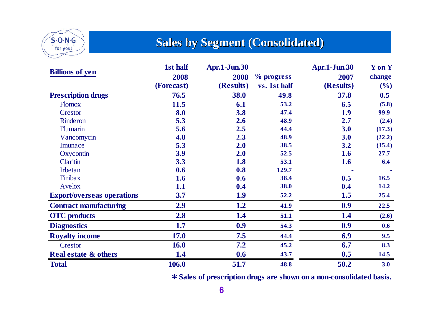

## **Sales by Segment (Consolidated)**

|                                   | 1st half    | <b>Apr.1-Jun.30</b> |              | <b>Apr.1-Jun.30</b> | <b>Y</b> on <b>Y</b> |
|-----------------------------------|-------------|---------------------|--------------|---------------------|----------------------|
| <b>Billions of yen</b>            | 2008        | 2008                | % progress   | 2007                | change               |
|                                   | (Forecast)  | (Results)           | vs. 1st half | (Results)           | $($ %)               |
| <b>Prescription drugs</b>         | 76.5        | 38.0                | 49.8         | 37.8                | 0.5                  |
| <b>Flomox</b>                     | 11.5        | 6.1                 | 53.2         | 6.5                 | (5.8)                |
| Crestor                           | 8.0         | 3.8                 | 47.4         | 1.9                 | 99.9                 |
| Rinderon                          | 5.3         | 2.6                 | 48.9         | 2.7                 | (2.4)                |
| <b>Flumarin</b>                   | 5.6         | 2.5                 | 44.4         | 3.0                 | (17.3)               |
| Vancomycin                        | 4.8         | 2.3                 | 48.9         | 3.0                 | (22.2)               |
| Imunace                           | 5.3         | 2.0                 | 38.5         | 3.2                 | (35.4)               |
| Oxycontin                         | 3.9         | 2.0                 | 52.5         | 1.6                 | 27.7                 |
| Claritin                          | 3.3         | 1.8                 | 53.1         | 1.6                 | 6.4                  |
| Irbetan                           | 0.6         | 0.8                 | 129.7        |                     |                      |
| Finibax                           | 1.6         | 0.6                 | 38.4         | 0.5                 | 16.5                 |
| Avelox                            | 1.1         | 0.4                 | 38.0         | 0.4                 | 14.2                 |
| <b>Export/overseas operations</b> | 3.7         | 1.9                 | 52.2         | 1.5                 | 25.4                 |
| <b>Contract manufacturing</b>     | 2.9         | 1.2                 | 41.9         | 0.9                 | 22.5                 |
| <b>OTC</b> products               | 2.8         | 1.4                 | 51.1         | 1.4                 | (2.6)                |
| <b>Diagnostics</b>                | 1.7         | 0.9                 | 54.3         | 0.9                 | 0.6                  |
| <b>Royalty income</b>             | <b>17.0</b> | 7.5                 | 44.4         | 6.9                 | 9.5                  |
| Crestor                           | 16.0        | 7.2                 | 45.2         | 6.7                 | 8.3                  |
| <b>Real estate &amp; others</b>   | 1.4         | 0.6                 | 43.7         | 0.5                 | 14.5                 |
| <b>Total</b>                      | 106.0       | 51.7                | 48.8         | 50.2                | 3.0                  |

\***Sales of prescription drugs are shown on a non-consolidated basis.**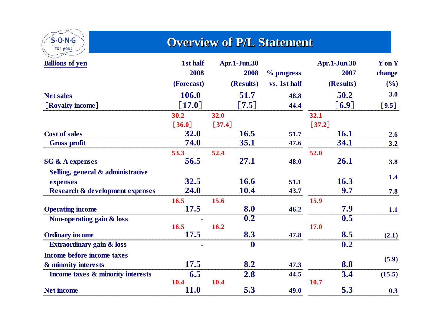

## **Overview of P/L Statement**

| <b>Billions of yen</b>                     | 1st half             | <b>Apr.1-Jun.30</b> |              | <b>Apr.1-Jun.30</b> | Y on Y  |
|--------------------------------------------|----------------------|---------------------|--------------|---------------------|---------|
|                                            | 2008                 | 2008                | % progress   | 2007                | change  |
|                                            | (Forecast)           | (Results)           | vs. 1st half | (Results)           | $($ %)  |
| <b>Net sales</b>                           | 106.0                | 51.7                | 48.8         | 50.2                | 3.0     |
| [Royalty income]                           | [17.0]               | $\left[7.5\right]$  | 44.4         | [6.9]               | $[9.5]$ |
|                                            | 30.2                 | 32.0                |              | 32.1                |         |
|                                            | $\lceil 36.0 \rceil$ | $\left[37.4\right]$ |              | $[37.2]$            |         |
| <b>Cost of sales</b>                       | <b>32.0</b>          | 16.5                | 51.7         | <b>16.1</b>         | 2.6     |
| <b>Gross profit</b>                        | 74.0                 | 35.1                | 47.6         | 34.1                | $3.2$   |
|                                            | 53.3                 | 52.4                |              | 52.0                |         |
| <b>SG &amp; A expenses</b>                 | 56.5                 | 27.1                | 48.0         | 26.1                | 3.8     |
| Selling, general & administrative          |                      |                     |              |                     |         |
| expenses                                   | 32.5                 | 16.6                | 51.1         | 16.3                | 1.4     |
| <b>Research &amp; development expenses</b> | 24.0                 | 10.4                | 43.7         | 9.7                 | 7.8     |
|                                            | 16.5                 | 15.6                |              | 15.9                |         |
| <b>Operating income</b>                    | <b>17.5</b>          | 8.0                 | 46.2         | 7.9                 | 1.1     |
| Non-operating gain & loss                  |                      | 0.2                 |              | 0.5                 |         |
|                                            | 16.5                 | 16.2                |              | <b>17.0</b>         |         |
| <b>Ordinary income</b>                     | 17.5                 | 8.3                 | 47.8         | 8.5                 | (2.1)   |
| <b>Extraordinary gain &amp; loss</b>       |                      | $\boldsymbol{0}$    |              | 0.2                 |         |
| Income before income taxes                 |                      |                     |              |                     | (5.9)   |
| & minority interests                       | <b>17.5</b>          | 8.2                 | 47.3         | 8.8                 |         |
| Income taxes & minority interests          | 6.5                  | 2.8                 | 44.5         | 3.4                 | (15.5)  |
|                                            | 10.4                 | 10.4                |              | 10.7                |         |
| <b>Net income</b>                          | <b>11.0</b>          | 5.3                 | 49.0         | 5.3                 | 0.3     |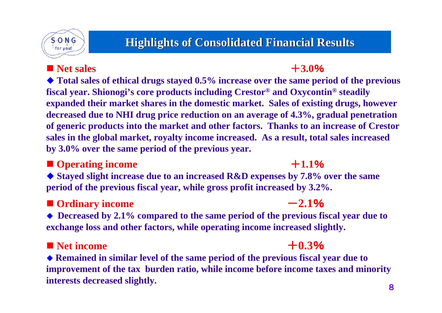

## **Highlights of Consolidated Financial Results Highlights of Consolidated Financial Results**

### **Net sales**  $+3.0\%$

#### **Total sales of ethical drugs stayed 0.5% increase over the same period of the previous fiscal year. Shionogi's core products including Crestor® and Oxycontin® steadily expanded their market shares in the domestic market. Sales of existing drugs, however decreased due to NHI drug price reduction on an average of 4.3%, gradual penetration of generic products into the market and other factors. Thanks to an increase of Crestor sales in the global market, royalty income increased. As a result, total sales increased by 3.0% over the same period of the previous year.**

### ■ Operating income **+1.1**%

 **Stayed slight increase due to an increased R&D expenses by 7.8% over the same period of the previous fiscal year, while gross profit increased by 3.2%.**

## $\blacksquare$  Ordinary income  $-2.1\%$

 **Decreased by 2.1% compared to the same period of the previous fiscal year due to exchange loss and other factors, while operating income increased slightly.**

## $\blacksquare$  Net income  $+0.3\%$

### **Remained in similar level of the same period of the previous fiscal year due to improvement of the tax burden ratio, while income before income taxes and minority interests decreased slightly.** 8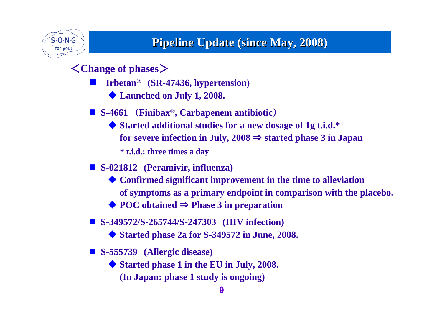

## **Pipeline Update (since May, 2008)**

<**Change of phases**>

- $\mathbb{R}^3$  **Irbetan® (SR-47436, hypertension)**
	- **Launched on July 1, 2008.**
- S-4661 (**Finibax<sup>®</sup>, Carbapenem** antibiotic)
	- ◆ Started additional studies for a new dosage of 1g t.i.d.<sup>\*</sup> **for severe infection in July, 2008** <sup>⇒</sup> **started phase 3 in Japan \* t.i.d.: three times a day**
- **S-021812 (Peramivir, influenza)**
	- **Confirmed significant improvement in the time to alleviation of symptoms as a primary endpoint in comparison with the placebo.**
	- **POC obtained** ⇒ **Phase 3 in preparation**
- **S-349572/S-265744/S-247303 (HIV infection)**
	- **Started phase 2a for S-349572 in June, 2008.**
- **S-555739 (Allergic disease)**
	- **Started phase 1 in the EU in July, 2008. (In Japan: phase 1 study is ongoing)**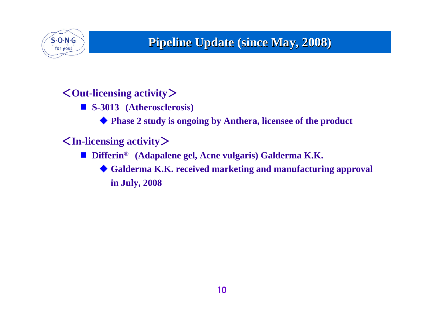

## **Pipeline Update (since May, 2008) Pipeline Update (since May, 2008)**

## <**Out-licensing activity**>

**S-3013 (Atherosclerosis)**

♦ **Phase 2 study is ongoing by Anthera, licensee of the product**

## <**In-licensing activity**>

- M **Differin® (Adapalene gel, Acne vulgaris) Galderma K.K.**
	- **Galderma K.K. received marketing and manufacturing approval in July, 2008**